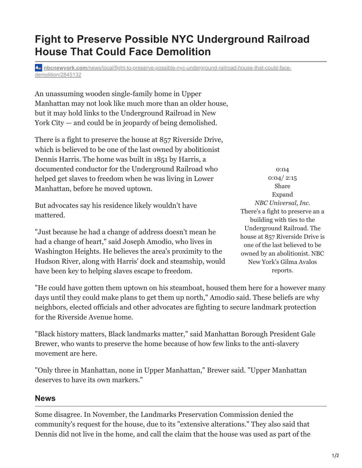## 1/2

## **Fight to Preserve Possible NYC Underground Railroad House That Could Face Demolition**

**nbcnewyork.com**[/news/local/fight-to-preserve-possible-nyc-underground-railroad-house-that-could-face](https://www.nbcnewyork.com/news/local/fight-to-preserve-possible-nyc-underground-railroad-house-that-could-face-demolition/2845132/)demolition/2845132

An unassuming wooden single-family home in Upper Manhattan may not look like much more than an older house, but it may hold links to the Underground Railroad in New York City — and could be in jeopardy of being demolished.

There is a fight to preserve the house at 857 Riverside Drive, which is believed to be one of the last owned by abolitionist Dennis Harris. The home was built in 1851 by Harris, a documented conductor for the Underground Railroad who helped get slaves to freedom when he was living in Lower Manhattan, before he moved uptown.

But advocates say his residence likely wouldn't have mattered.

"Just because he had a change of address doesn't mean he had a change of heart," said Joseph Amodio, who lives in Washington Heights. He believes the area's proximity to the Hudson River, along with Harris' dock and steamship, would have been key to helping slaves escape to freedom.

0:04 0:04/ 2:15 Share Expand *NBC Universal, Inc.* There's a fight to preserve an a building with ties to the Underground Railroad. The house at 857 Riverside Drive is one of the last believed to be owned by an abolitionist. NBC New York's Gilma Avalos reports.

"He could have gotten them uptown on his steamboat, housed them here for a however many days until they could make plans to get them up north," Amodio said. These beliefs are why neighbors, elected officials and other advocates are fighting to secure landmark protection for the Riverside Avenue home.

"Black history matters, Black landmarks matter," said Manhattan Borough President Gale Brewer, who wants to preserve the home because of how few links to the anti-slavery movement are here.

"Only three in Manhattan, none in Upper Manhattan," Brewer said. "Upper Manhattan deserves to have its own markers."

## **News**

Some disagree. In November, the Landmarks Preservation Commission denied the community's request for the house, due to its "extensive alterations." They also said that Dennis did not live in the home, and call the claim that the house was used as part of the